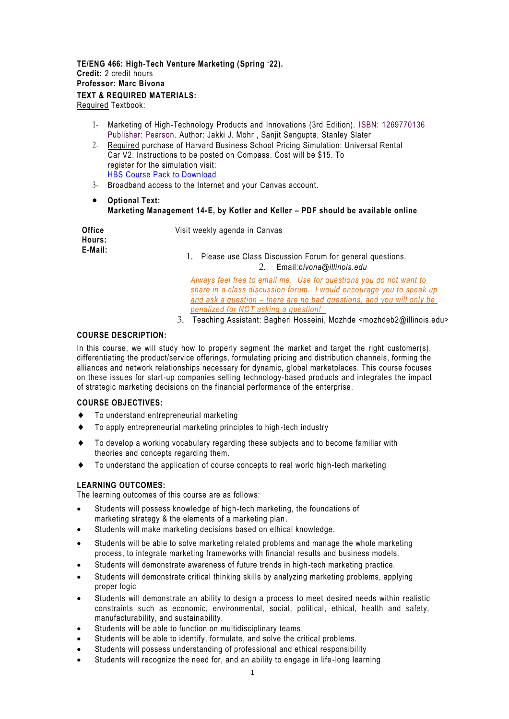# **TE/ENG 466: High-Tech Venture Marketing (Spring '22). Credit:** 2 credit hours **Professor: Marc Bivona TEXT & REQUIRED MATERIALS:**

Required Textbook:

- 1- Marketing of High-Technology Products and Innovations (3rd Edition). ISBN: 1269770136 Publisher: Pearson. Author: Jakki J. Mohr , Sanjit Sengupta, Stanley Slater
- 2- Required purchase of Harvard Business School Pricing Simulation: Universal Rental Car V2. Instructions to be posted on Compass. Cost will be \$15. To register for the simulation visit: [HBS Course Pack to Download](https://hbsp.harvard.edu/import/911400)
- 3- Broadband access to the Internet and your Canvas account.
- **Optional Text: Marketing Management 14-E, by Kotler and Keller – PDF should be available online**

| <b>Office</b><br>Hours: | Visit weekly agenda in Canvas                                                                       |  |  |
|-------------------------|-----------------------------------------------------------------------------------------------------|--|--|
| E-Mail:                 | Please use Class Discussion Forum for general questions.<br>Email: <i>bivona@illinois.edu</i><br>2. |  |  |
|                         | Always feel free to email me. Use for questions you do not want to                                  |  |  |

*share in a class discussion forum. I would encourage you to speak up and ask a question – there are no bad questions, and you will only be penalized for NOT asking a question!* 

3. Teaching Assistant: Bagheri Hosseini, Mozhde <mozhdeb2@illinois.edu>

## **COURSE DESCRIPTION:**

In this course, we will study how to properly segment the market and target the right customer(s), differentiating the product/service offerings, formulating pricing and distribution channels, forming the alliances and network relationships necessary for dynamic, global marketplaces. This course focuses on these issues for start-up companies selling technology-based products and integrates the impact of strategic marketing decisions on the financial performance of the enterprise.

## **COURSE OBJECTIVES:**

- To understand entrepreneurial marketing
- To apply entrepreneurial marketing principles to high-tech industry
- To develop a working vocabulary regarding these subjects and to become familiar with theories and concepts regarding them.
- To understand the application of course concepts to real world high-tech marketing

## **LEARNING OUTCOMES:**

The learning outcomes of this course are as follows:

- Students will possess knowledge of high-tech marketing, the foundations of marketing strategy & the elements of a marketing plan.
- Students will make marketing decisions based on ethical knowledge.
- Students will be able to solve marketing related problems and manage the whole marketing process, to integrate marketing frameworks with financial results and business models.
- Students will demonstrate awareness of future trends in high-tech marketing practice.
- Students will demonstrate critical thinking skills by analyzing marketing problems, applying proper logic
- Students will demonstrate an ability to design a process to meet desired needs within realistic constraints such as economic, environmental, social, political, ethical, health and safety, manufacturability, and sustainability.
- Students will be able to function on multidisciplinary teams
- Students will be able to identify, formulate, and solve the critical problems.
- Students will possess understanding of professional and ethical responsibility
- Students will recognize the need for, and an ability to engage in life-long learning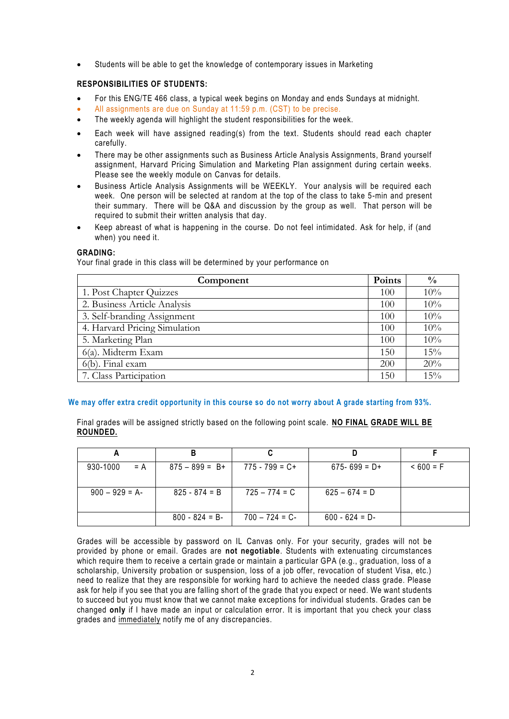• Students will be able to get the knowledge of contemporary issues in Marketing

## **RESPONSIBILITIES OF STUDENTS:**

- For this ENG/TE 466 class, a typical week begins on Monday and ends Sundays at midnight.
- All assignments are due on Sunday at 11:59 p.m. (CST) to be precise.
- The weekly agenda will highlight the student responsibilities for the week.
- Each week will have assigned reading(s) from the text. Students should read each chapter carefully.
- There may be other assignments such as Business Article Analysis Assignments, Brand yourself assignment, Harvard Pricing Simulation and Marketing Plan assignment during certain weeks. Please see the weekly module on Canvas for details.
- Business Article Analysis Assignments will be WEEKLY. Your analysis will be required each week. One person will be selected at random at the top of the class to take 5-min and present their summary. There will be Q&A and discussion by the group as well. That person will be required to submit their written analysis that day.
- Keep abreast of what is happening in the course. Do not feel intimidated. Ask for help, if (and when) you need it.

## **GRADING:**

Your final grade in this class will be determined by your performance on

| Component                     | Points | $\frac{0}{0}$ |
|-------------------------------|--------|---------------|
| 1. Post Chapter Quizzes       | 100    | 10%           |
| 2. Business Article Analysis  | 100    | 10%           |
| 3. Self-branding Assignment   | 100    | 10%           |
| 4. Harvard Pricing Simulation | 100    | 10%           |
| 5. Marketing Plan             | 100    | 10%           |
| $6(a)$ . Midterm Exam         | 150    | 15%           |
| 6(b). Final exam              | 200    | 20%           |
| 7. Class Participation        | 150    | 15%           |

## **We may offer extra credit opportunity in this course so do not worry about A grade starting from 93%.**

Final grades will be assigned strictly based on the following point scale. **NO FINAL GRADE WILL BE ROUNDED.**

| 930-1000<br>$= A$ | $875 - 899 = B +$ | $775 - 799 = C +$ | $675 - 699 = D +$ | $< 600 = F$ |
|-------------------|-------------------|-------------------|-------------------|-------------|
| $900 - 929 = A$   | $825 - 874 = B$   | $725 - 774 = C$   | $625 - 674 = D$   |             |
|                   | $800 - 824 = B$   | $700 - 724 = C$   | $600 - 624 = D$   |             |

Grades will be accessible by password on IL Canvas only. For your security, grades will not be provided by phone or email. Grades are **not negotiable**. Students with extenuating circumstances which require them to receive a certain grade or maintain a particular GPA (e.g., graduation, loss of a scholarship, University probation or suspension, loss of a job offer, revocation of student Visa, etc.) need to realize that they are responsible for working hard to achieve the needed class grade. Please ask for help if you see that you are falling short of the grade that you expect or need. We want students to succeed but you must know that we cannot make exceptions for individual students. Grades can be changed **only** if I have made an input or calculation error. It is important that you check your class grades and immediately notify me of any discrepancies.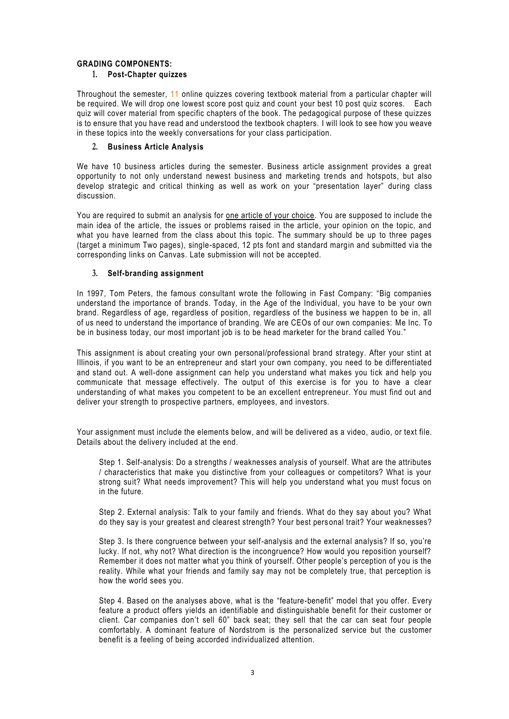### **GRADING COMPONENTS:**

### **1. Post-Chapter quizzes**

Throughout the semester, 11 online quizzes covering textbook material from a particular chapter will be required. We will drop one lowest score post quiz and count your best 10 post quiz scores. Each quiz will cover material from specific chapters of the book. The pedagogical purpose of these quizzes is to ensure that you have read and understood the textbook chapters. I will look to see how you weave in these topics into the weekly conversations for your class participation.

### **2. Business Article Analysis**

We have 10 business articles during the semester. Business article assignment provides a great opportunity to not only understand newest business and marketing tre nds and hotspots, but also develop strategic and critical thinking as well as work on your "presentation layer" during class discussion.

You are required to submit an analysis for one article of your choice. You are supposed to include the main idea of the article, the issues or problems raised in the article, your opinion on the topic, and what you have learned from the class about this topic. The summary should be up to three pages (target a minimum Two pages), single-spaced, 12 pts font and standard margin and submitted via the corresponding links on Canvas. Late submission will not be accepted.

## **3. Self-branding assignment**

In 1997, Tom Peters, the famous consultant wrote the following in Fast Company: "Big companies understand the importance of brands. Today, in the Age of the Individual, you have to be your own brand. Regardless of age, regardless of position, regardless of the business we happen to be in, all of us need to understand the importance of branding. We are CEOs of our own companies: Me Inc. To be in business today, our most important job is to be head marketer for the brand called You."

This assignment is about creating your own personal/professional brand strategy. After your stint at Illinois, if you want to be an entrepreneur and start your own company, you need to be differentiated and stand out. A well-done assignment can help you understand what makes you tick and help you communicate that message effectively. The output of this exercise is for you to have a clear understanding of what makes you competent to be an excellent entrepreneur. You must find out and deliver your strength to prospective partners, employees, and investors.

Your assignment must include the elements below, and will be delivered as a video, audio, or text file. Details about the delivery included at the end.

Step 1. Self-analysis: Do a strengths / weaknesses analysis of yourself. What are the attributes / characteristics that make you distinctive from your colleagues or competitors? What is your strong suit? What needs improvement? This will help you understand what you must focus on in the future.

Step 2. External analysis: Talk to your family and friends. What do they say about you? What do they say is your greatest and clearest strength? Your best pers onal trait? Your weaknesses?

Step 3. Is there congruence between your self-analysis and the external analysis? If so, you're lucky. If not, why not? What direction is the incongruence? How would you reposition yourself? Remember it does not matter what you think of yourself. Other people's perception of you is the reality. While what your friends and family say may not be completely true, that perception is how the world sees you.

Step 4. Based on the analyses above, what is the "feature-benefit" model that you offer. Every feature a product offers yields an identifiable and distinguishable benefit for their customer or client. Car companies don't sell 60" back seat; they sell that the car can seat four people comfortably. A dominant feature of Nordstrom is the personalized service but the customer benefit is a feeling of being accorded individualized attention.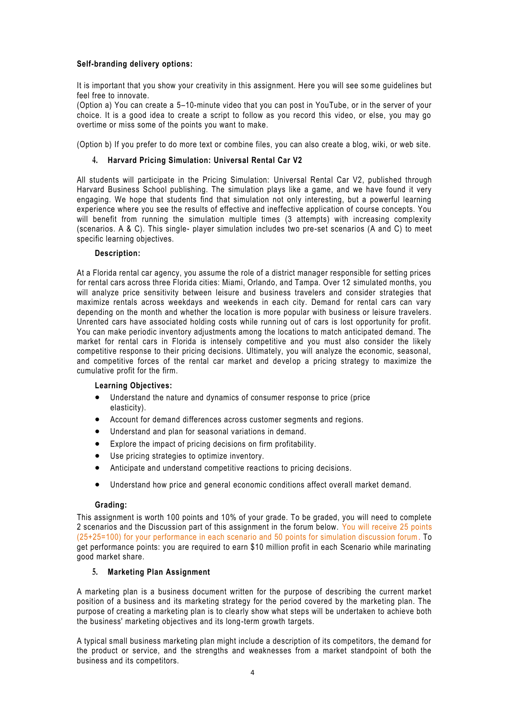## **Self-branding delivery options:**

It is important that you show your creativity in this assignment. Here you will see some guidelines but feel free to innovate.

(Option a) You can create a 5–10-minute video that you can post in YouTube, or in the server of your choice. It is a good idea to create a script to follow as you record this video, or else, you may go overtime or miss some of the points you want to make.

(Option b) If you prefer to do more text or combine files, you can also create a blog, wiki, or web site.

### **4. Harvard Pricing Simulation: Universal Rental Car V2**

All students will participate in the Pricing Simulation: Universal Rental Car V2, published through Harvard Business School publishing. The simulation plays like a game, and we have found it very engaging. We hope that students find that simulation not only interesting, but a powerful learning experience where you see the results of effective and ineffective application of course concepts. You will benefit from running the simulation multiple times (3 attempts) with increasing complexity (scenarios. A & C). This single- player simulation includes two pre-set scenarios (A and C) to meet specific learning objectives.

#### **Description:**

At a Florida rental car agency, you assume the role of a district manager responsible for setting prices for rental cars across three Florida cities: Miami, Orlando, and Tampa. Over 12 simulated months, you will analyze price sensitivity between leisure and business travelers and consider strategies that maximize rentals across weekdays and weekends in each city. Demand for rental cars can vary depending on the month and whether the location is more popular with business or leisure travelers. Unrented cars have associated holding costs while running out of cars is lost opportunity for profit. You can make periodic inventory adjustments among the locations to match anticipated demand. The market for rental cars in Florida is intensely competitive and you must also consider the likely competitive response to their pricing decisions. Ultimately, you will analyze the economic, seasonal, and competitive forces of the rental car market and develop a pricing strategy to maximize the cumulative profit for the firm.

#### **Learning Objectives:**

- Understand the nature and dynamics of consumer response to price (price elasticity).
- Account for demand differences across customer segments and regions.
- Understand and plan for seasonal variations in demand.
- Explore the impact of pricing decisions on firm profitability.
- Use pricing strategies to optimize inventory.
- Anticipate and understand competitive reactions to pricing decisions.
- Understand how price and general economic conditions affect overall market demand.

#### **Grading:**

This assignment is worth 100 points and 10% of your grade. To be graded, you will need to complete 2 scenarios and the Discussion part of this assignment in the forum below. You will receive 25 points (25+25=100) for your performance in each scenario and 50 points for simulation discussion forum. To get performance points: you are required to earn \$10 million profit in each Scenario while marinating good market share.

#### **5. Marketing Plan Assignment**

A marketing plan is a business document written for the purpose of describing the current market position of a business and its marketing strategy for the period covered by the marketing plan. The purpose of creating a marketing plan is to clearly show what steps will be undertaken to achieve both the business' marketing objectives and its long-term growth targets.

A typical small business marketing plan might include a description of its competitors, the demand for the product or service, and the strengths and weaknesses from a market standpoint of both the business and its competitors.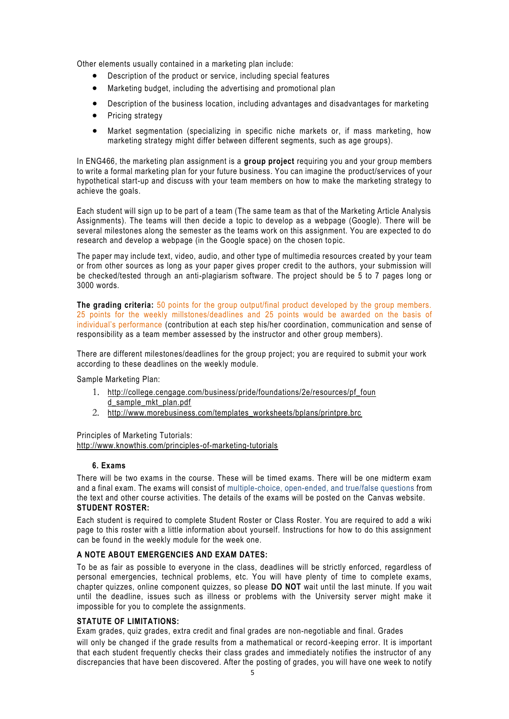Other elements usually contained in a marketing plan include:

- Description of the product or service, including special features
- Marketing budget, including the advertising and promotional plan
- Description of the business location, including advantages and disadvantages for marketing
- Pricing strategy
- Market segmentation (specializing in specific niche markets or, if mass marketing, how marketing strategy might differ between different segments, such as age groups).

In ENG466, the marketing plan assignment is a **group project** requiring you and your group members to write a formal marketing plan for your future business. You can imagine the product/services of your hypothetical start-up and discuss with your team members on how to make the marketing strategy to achieve the goals.

Each student will sign up to be part of a team (The same team as that of the Marketing Article Analysis Assignments). The teams will then decide a topic to develop as a webpage (Google). There will be several milestones along the semester as the teams work on this assignment. You are expected to do research and develop a webpage (in the Google space) on the chosen to pic.

The paper may include text, video, audio, and other type of multimedia resources created by your team or from other sources as long as your paper gives proper credit to the authors, your submission will be checked/tested through an anti-plagiarism software. The project should be 5 to 7 pages long or 3000 words.

**The grading criteria:** 50 points for the group output/final product developed by the group members. 25 points for the weekly millstones/deadlines and 25 points would be awarded on the basis of individual's performance (contribution at each step his/her coordination, communication and sense of responsibility as a team member assessed by the instructor and other group members).

There are different milestones/deadlines for the group project; you are required to submit your work according to these deadlines on the weekly module.

Sample Marketing Plan:

- 1. [http://college.cengage.com/business/pride/foundations/2e/resources/pf\\_foun](http://college.cengage.com/business/pride/foundations/2e/resources/pf_found_sample_mkt_plan.pdf) [d\\_sample\\_mkt\\_plan.pdf](http://college.cengage.com/business/pride/foundations/2e/resources/pf_found_sample_mkt_plan.pdf)
- 2. [http://www.morebusiness.com/templates\\_worksheets/bplans/printpre.brc](http://www.morebusiness.com/templates_worksheets/bplans/printpre.brc)

Principles of Marketing Tutorials:

<http://www.knowthis.com/principles-of-marketing-tutorials>

## **6. Exams**

There will be two exams in the course. These will be timed exams. There will be one midterm exam and a final exam. The exams will consist of multiple-choice, open-ended, and true/false questions from the text and other course activities. The details of the exams will be posted on the Canvas website. **STUDENT ROSTER:**

Each student is required to complete Student Roster or Class Roster. You are required to add a wiki page to this roster with a little information about yourself. Instructions for how to do this assignment can be found in the weekly module for the week one.

#### **A NOTE ABOUT EMERGENCIES AND EXAM DATES:**

To be as fair as possible to everyone in the class, deadlines will be strictly enforced, regardless of personal emergencies, technical problems, etc. You will have plenty of time to complete exams, chapter quizzes, online component quizzes, so please **DO NOT** wait until the last minute. If you wait until the deadline, issues such as illness or problems with the University server might make it impossible for you to complete the assignments.

### **STATUTE OF LIMITATIONS:**

Exam grades, quiz grades, extra credit and final grades are non-negotiable and final. Grades

will only be changed if the grade results from a mathematical or record -keeping error. It is important that each student frequently checks their class grades and immediately notifies the instructor of any discrepancies that have been discovered. After the posting of grades, you will have one week to notify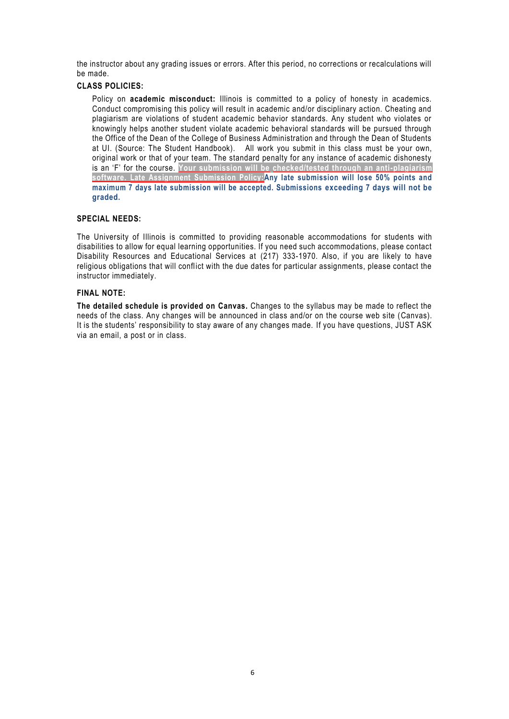the instructor about any grading issues or errors. After this period, no corrections or recalculations will be made.

### **CLASS POLICIES:**

Policy on **academic misconduct:** Illinois is committed to a policy of honesty in academics. Conduct compromising this policy will result in academic and/or disciplinary action. Cheating and plagiarism are violations of student academic behavior standards. Any student who violates or knowingly helps another student violate academic behavioral standards will be pursued through the Office of the Dean of the College of Business Administration and through the Dean of Students at UI. (Source: The Student Handbook). All work you submit in this class must be your own, original work or that of your team. The standard penalty for any instance of academic dishonesty is an 'F' for the course. **Your submission will be checked/tested through an anti-plagiarism software. Late Assignment Submission Policy:Any late submission will lose 50% points and maximum 7 days late submission will be accepted. Submissions exceeding 7 days will not be graded.**

## **SPECIAL NEEDS:**

The University of Illinois is committed to providing reasonable accommodations for students with disabilities to allow for equal learning opportunities. If you need such accommodations, please contact Disability Resources and Educational Services at (217) 333-1970. Also, if you are likely to have religious obligations that will conflict with the due dates for particular assignments, please contact the instructor immediately.

## **FINAL NOTE:**

**The detailed schedule is provided on Canvas.** Changes to the syllabus may be made to reflect the needs of the class. Any changes will be announced in class and/or on the course web site (Canvas). It is the students' responsibility to stay aware of any changes made. If you have questions, JUST ASK via an email, a post or in class.